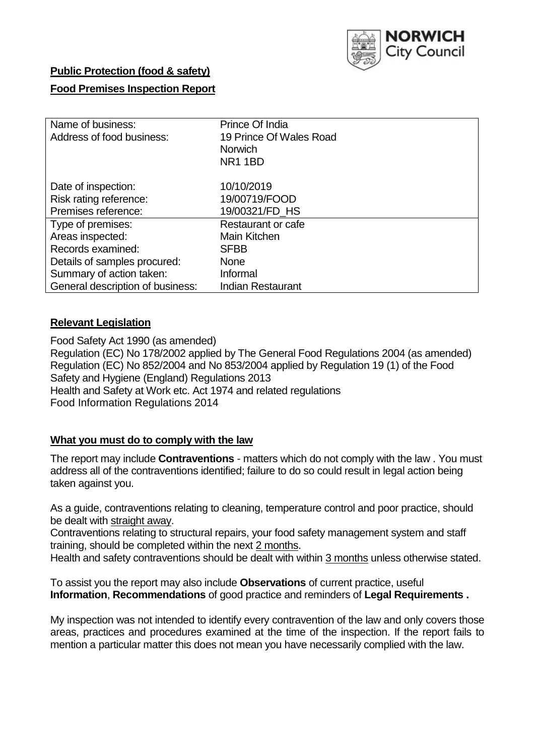

# **Public Protection (food & safety)**

# **Food Premises Inspection Report**

| Name of business:                | Prince Of India         |  |  |  |  |  |
|----------------------------------|-------------------------|--|--|--|--|--|
| Address of food business:        | 19 Prince Of Wales Road |  |  |  |  |  |
|                                  | <b>Norwich</b>          |  |  |  |  |  |
|                                  | NR <sub>1</sub> 1BD     |  |  |  |  |  |
| Date of inspection:              | 10/10/2019              |  |  |  |  |  |
| Risk rating reference:           | 19/00719/FOOD           |  |  |  |  |  |
| Premises reference:              | 19/00321/FD_HS          |  |  |  |  |  |
| Type of premises:                | Restaurant or cafe      |  |  |  |  |  |
| Areas inspected:                 | Main Kitchen            |  |  |  |  |  |
| Records examined:                | <b>SFBB</b>             |  |  |  |  |  |
| Details of samples procured:     | <b>None</b>             |  |  |  |  |  |
| Summary of action taken:         | Informal                |  |  |  |  |  |
| General description of business: | Indian Restaurant       |  |  |  |  |  |

### **Relevant Legislation**

Food Safety Act 1990 (as amended) Regulation (EC) No 178/2002 applied by The General Food Regulations 2004 (as amended) Regulation (EC) No 852/2004 and No 853/2004 applied by Regulation 19 (1) of the Food Safety and Hygiene (England) Regulations 2013 Health and Safety at Work etc. Act 1974 and related regulations Food Information Regulations 2014

# **What you must do to comply with the law**

The report may include **Contraventions** - matters which do not comply with the law . You must address all of the contraventions identified; failure to do so could result in legal action being taken against you.

As a guide, contraventions relating to cleaning, temperature control and poor practice, should be dealt with straight away.

Contraventions relating to structural repairs, your food safety management system and staff training, should be completed within the next 2 months.

Health and safety contraventions should be dealt with within 3 months unless otherwise stated.

To assist you the report may also include **Observations** of current practice, useful **Information**, **Recommendations** of good practice and reminders of **Legal Requirements .**

My inspection was not intended to identify every contravention of the law and only covers those areas, practices and procedures examined at the time of the inspection. If the report fails to mention a particular matter this does not mean you have necessarily complied with the law.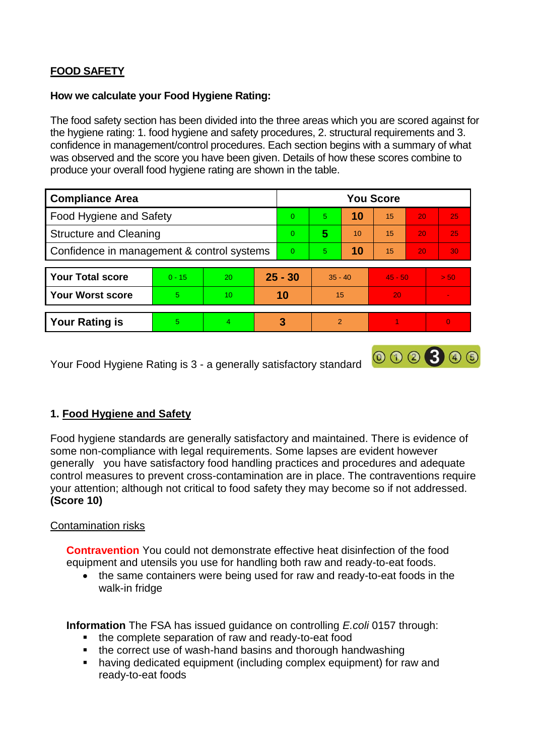# **FOOD SAFETY**

### **How we calculate your Food Hygiene Rating:**

The food safety section has been divided into the three areas which you are scored against for the hygiene rating: 1. food hygiene and safety procedures, 2. structural requirements and 3. confidence in management/control procedures. Each section begins with a summary of what was observed and the score you have been given. Details of how these scores combine to produce your overall food hygiene rating are shown in the table.

| <b>Compliance Area</b>                     |          |                |          | <b>You Score</b> |               |    |           |                 |      |  |  |
|--------------------------------------------|----------|----------------|----------|------------------|---------------|----|-----------|-----------------|------|--|--|
| Food Hygiene and Safety                    |          |                |          | $\Omega$         | 5             | 10 | 15        | 20              | 25   |  |  |
| <b>Structure and Cleaning</b>              |          |                | $\Omega$ | 5                | 10            | 15 | 20        | 25              |      |  |  |
| Confidence in management & control systems |          |                | $\Omega$ | 5                | 10            | 15 | 20        | 30 <sub>1</sub> |      |  |  |
|                                            |          |                |          |                  |               |    |           |                 |      |  |  |
| <b>Your Total score</b>                    | $0 - 15$ | 20             |          | $25 - 30$        | $35 - 40$     |    | $45 - 50$ |                 | > 50 |  |  |
| <b>Your Worst score</b>                    | 5        | 10             |          | 10               | 15            |    | 20        |                 |      |  |  |
|                                            |          |                |          |                  |               |    |           |                 |      |  |  |
| <b>Your Rating is</b>                      | 5.       | $\overline{4}$ |          | 3                | $\mathcal{P}$ |    |           |                 | 0    |  |  |

Your Food Hygiene Rating is 3 - a generally satisfactory standard

# **1. Food Hygiene and Safety**

Food hygiene standards are generally satisfactory and maintained. There is evidence of some non-compliance with legal requirements. Some lapses are evident however generally you have satisfactory food handling practices and procedures and adequate control measures to prevent cross-contamination are in place. The contraventions require your attention; although not critical to food safety they may become so if not addressed. **(Score 10)**

000300

### Contamination risks

**Contravention** You could not demonstrate effective heat disinfection of the food equipment and utensils you use for handling both raw and ready-to-eat foods.

• the same containers were being used for raw and ready-to-eat foods in the walk-in fridge

**Information** The FSA has issued guidance on controlling *E.coli* 0157 through:

- the complete separation of raw and ready-to-eat food
- the correct use of wash-hand basins and thorough handwashing
- having dedicated equipment (including complex equipment) for raw and ready-to-eat foods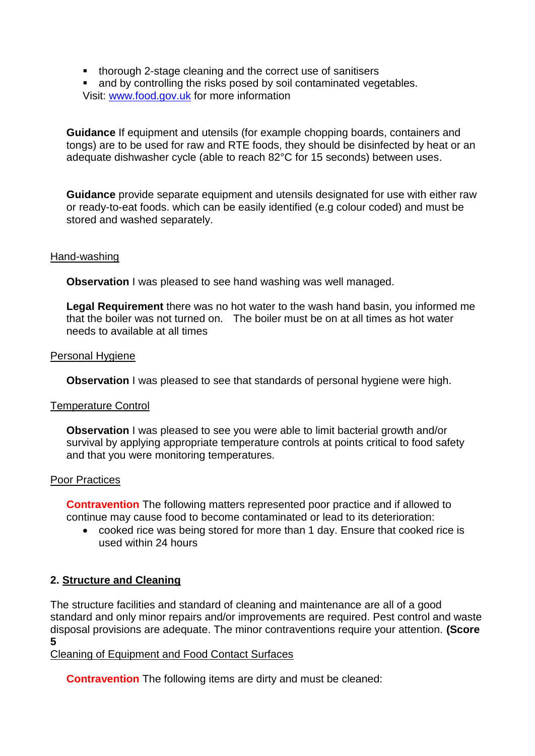- **thorough 2-stage cleaning and the correct use of sanitisers**
- and by controlling the risks posed by soil contaminated vegetables. Visit: [www.food.gov.uk](http://www.food.gov.uk/) for more information

**Guidance** If equipment and utensils (for example chopping boards, containers and tongs) are to be used for raw and RTE foods, they should be disinfected by heat or an adequate dishwasher cycle (able to reach 82°C for 15 seconds) between uses.

**Guidance** provide separate equipment and utensils designated for use with either raw or ready-to-eat foods. which can be easily identified (e.g colour coded) and must be stored and washed separately.

#### Hand-washing

**Observation** I was pleased to see hand washing was well managed.

**Legal Requirement** there was no hot water to the wash hand basin, you informed me that the boiler was not turned on. The boiler must be on at all times as hot water needs to available at all times

#### Personal Hygiene

**Observation** I was pleased to see that standards of personal hygiene were high.

#### Temperature Control

**Observation** I was pleased to see you were able to limit bacterial growth and/or survival by applying appropriate temperature controls at points critical to food safety and that you were monitoring temperatures.

#### Poor Practices

**Contravention** The following matters represented poor practice and if allowed to continue may cause food to become contaminated or lead to its deterioration:

 cooked rice was being stored for more than 1 day. Ensure that cooked rice is used within 24 hours

### **2. Structure and Cleaning**

The structure facilities and standard of cleaning and maintenance are all of a good standard and only minor repairs and/or improvements are required. Pest control and waste disposal provisions are adequate. The minor contraventions require your attention. **(Score 5**

Cleaning of Equipment and Food Contact Surfaces

**Contravention** The following items are dirty and must be cleaned: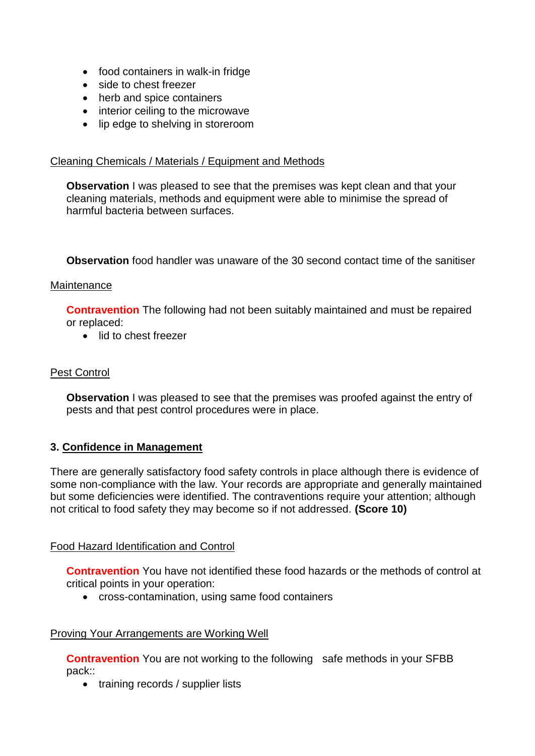- food containers in walk-in fridge
- side to chest freezer
- herb and spice containers
- interior ceiling to the microwave
- lip edge to shelving in storeroom

### Cleaning Chemicals / Materials / Equipment and Methods

**Observation** I was pleased to see that the premises was kept clean and that your cleaning materials, methods and equipment were able to minimise the spread of harmful bacteria between surfaces.

**Observation** food handler was unaware of the 30 second contact time of the sanitiser

#### **Maintenance**

**Contravention** The following had not been suitably maintained and must be repaired or replaced:

• lid to chest freezer

## Pest Control

**Observation** I was pleased to see that the premises was proofed against the entry of pests and that pest control procedures were in place.

### **3. Confidence in Management**

There are generally satisfactory food safety controls in place although there is evidence of some non-compliance with the law. Your records are appropriate and generally maintained but some deficiencies were identified. The contraventions require your attention; although not critical to food safety they may become so if not addressed. **(Score 10)**

### Food Hazard Identification and Control

**Contravention** You have not identified these food hazards or the methods of control at critical points in your operation:

cross-contamination, using same food containers

### Proving Your Arrangements are Working Well

**Contravention** You are not working to the following safe methods in your SFBB pack::

• training records / supplier lists